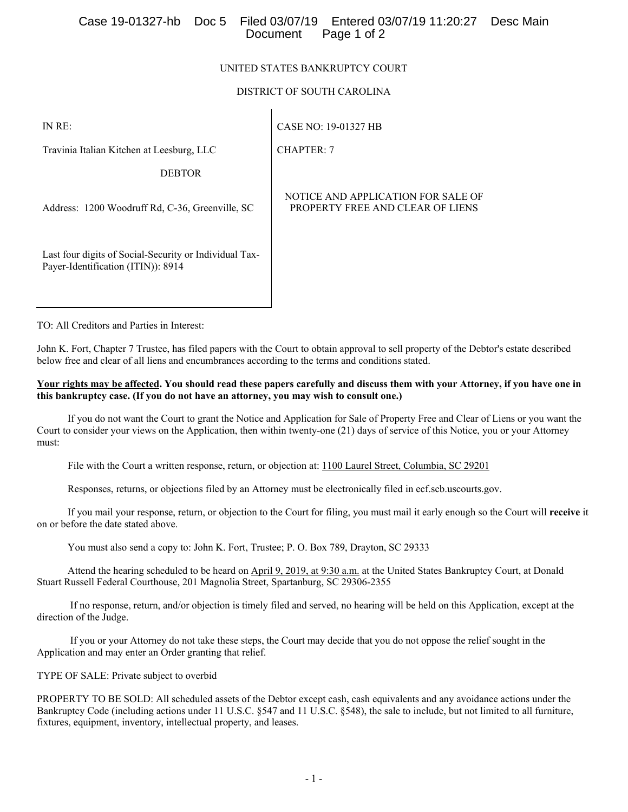## Case 19-01327-hb Doc 5 Filed 03/07/19 Entered 03/07/19 11:20:27 Desc Main Page 1 of 2

### UNITED STATES BANKRUPTCY COURT

### DISTRICT OF SOUTH CAROLINA

CHAPTER: 7

IN RE:

CASE NO: 19-01327 HB

Travinia Italian Kitchen at Leesburg, LLC

DEBTOR

Address: 1200 Woodruff Rd, C-36, Greenville, SC

Last four digits of Social-Security or Individual Tax-Payer-Identification (ITIN)): 8914

NOTICE AND APPLICATION FOR SALE OF PROPERTY FREE AND CLEAR OF LIENS

TO: All Creditors and Parties in Interest:

John K. Fort, Chapter 7 Trustee, has filed papers with the Court to obtain approval to sell property of the Debtor's estate described below free and clear of all liens and encumbrances according to the terms and conditions stated.

#### **Your rights may be affected. You should read these papers carefully and discuss them with your Attorney, if you have one in this bankruptcy case. (If you do not have an attorney, you may wish to consult one.)**

 If you do not want the Court to grant the Notice and Application for Sale of Property Free and Clear of Liens or you want the Court to consider your views on the Application, then within twenty-one (21) days of service of this Notice, you or your Attorney must:

File with the Court a written response, return, or objection at: 1100 Laurel Street, Columbia, SC 29201

Responses, returns, or objections filed by an Attorney must be electronically filed in ecf.scb.uscourts.gov.

 If you mail your response, return, or objection to the Court for filing, you must mail it early enough so the Court will **receive** it on or before the date stated above.

You must also send a copy to: John K. Fort, Trustee; P. O. Box 789, Drayton, SC 29333

 Attend the hearing scheduled to be heard on April 9, 2019, at 9:30 a.m. at the United States Bankruptcy Court, at Donald Stuart Russell Federal Courthouse, 201 Magnolia Street, Spartanburg, SC 29306-2355

 If no response, return, and/or objection is timely filed and served, no hearing will be held on this Application, except at the direction of the Judge.

 If you or your Attorney do not take these steps, the Court may decide that you do not oppose the relief sought in the Application and may enter an Order granting that relief.

TYPE OF SALE: Private subject to overbid

PROPERTY TO BE SOLD: All scheduled assets of the Debtor except cash, cash equivalents and any avoidance actions under the Bankruptcy Code (including actions under 11 U.S.C. §547 and 11 U.S.C. §548), the sale to include, but not limited to all furniture, fixtures, equipment, inventory, intellectual property, and leases.